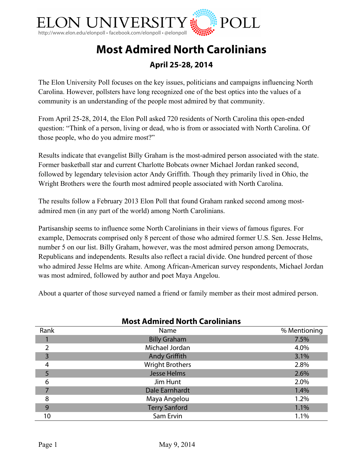

# **Most Admired North Carolinians**

### **April 25-28, 2014**

The Elon University Poll focuses on the key issues, politicians and campaigns influencing North Carolina. However, pollsters have long recognized one of the best optics into the values of a community is an understanding of the people most admired by that community.

From April 25-28, 2014, the Elon Poll asked 720 residents of North Carolina this open-ended question: "Think of a person, living or dead, who is from or associated with North Carolina. Of those people, who do you admire most?"

Results indicate that evangelist Billy Graham is the most-admired person associated with the state. Former basketball star and current Charlotte Bobcats owner Michael Jordan ranked second, followed by legendary television actor Andy Griffith. Though they primarily lived in Ohio, the Wright Brothers were the fourth most admired people associated with North Carolina.

The results follow a February 2013 Elon Poll that found Graham ranked second among mostadmired men (in any part of the world) among North Carolinians.

Partisanship seems to influence some North Carolinians in their views of famous figures. For example, Democrats comprised only 8 percent of those who admired former U.S. Sen. Jesse Helms, number 5 on our list. Billy Graham, however, was the most admired person among Democrats, Republicans and independents. Results also reflect a racial divide. One hundred percent of those who admired Jesse Helms are white. Among African-American survey respondents, Michael Jordan was most admired, followed by author and poet Maya Angelou.

About a quarter of those surveyed named a friend or family member as their most admired person.

| <b>Most Admired North Carolinians</b> |                        |              |
|---------------------------------------|------------------------|--------------|
| Rank                                  | Name                   | % Mentioning |
|                                       | <b>Billy Graham</b>    | 7.5%         |
| 2                                     | Michael Jordan         | 4.0%         |
| 3                                     | <b>Andy Griffith</b>   | 3.1%         |
| 4                                     | <b>Wright Brothers</b> | 2.8%         |
|                                       | <b>Jesse Helms</b>     | 2.6%         |
| 6                                     | Jim Hunt               | 2.0%         |
|                                       | Dale Earnhardt         | 1.4%         |
| 8                                     | Maya Angelou           | 1.2%         |
| 9                                     | <b>Terry Sanford</b>   | 1.1%         |
| 10                                    | Sam Ervin              | 1.1%         |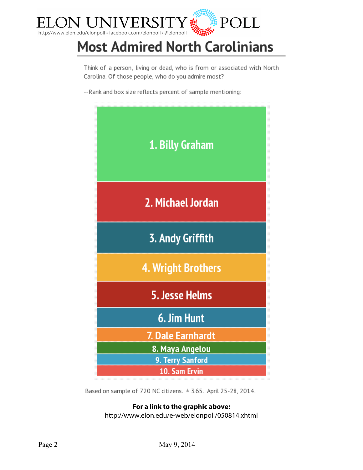

# **Most Admired North Carolinians**

Think of a person, living or dead, who is from or associated with North Carolina. Of those people, who do you admire most?

--Rank and box size reflects percent of sample mentioning:



Based on sample of 720 NC citizens.  $\pm$  3.65. April 25-28, 2014.

## **For a link to the graphic above:**

http://www.elon.edu/e-web/elonpoll/050814.xhtml